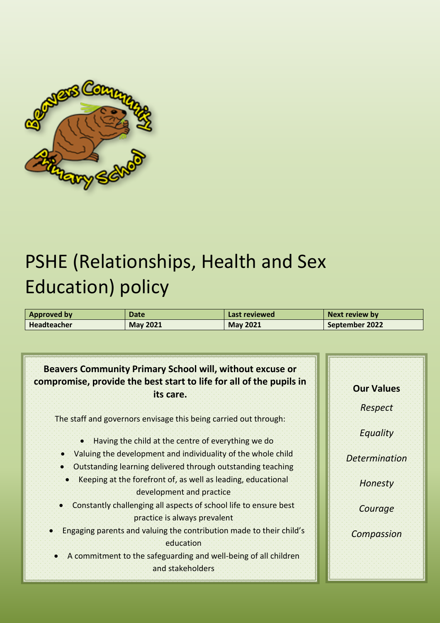

# PSHE (Relationships, Health and Sex Education) policy

| Approved by Approved by | Date            | Last reviewed   | Next review by |
|-------------------------|-----------------|-----------------|----------------|
| <b>Headteacher</b>      | <b>May 2021</b> | <b>May 2021</b> | September 2022 |

# **Beavers Community Primary School will, without excuse or compromise, provide the best start to life for all of the pupils in its care.**

The staff and governors envisage this being carried out through:

- Having the child at the centre of everything we do
- Valuing the development and individuality of the whole child
- Outstanding learning delivered through outstanding teaching
- **Keeping at the forefront of, as well as leading, educational** development and practice
- Constantly challenging all aspects of school life to ensure best practice is always prevalent
- Engaging parents and valuing the contribution made to their child's education
- A commitment to the safeguarding and well-being of all children and stakeholders

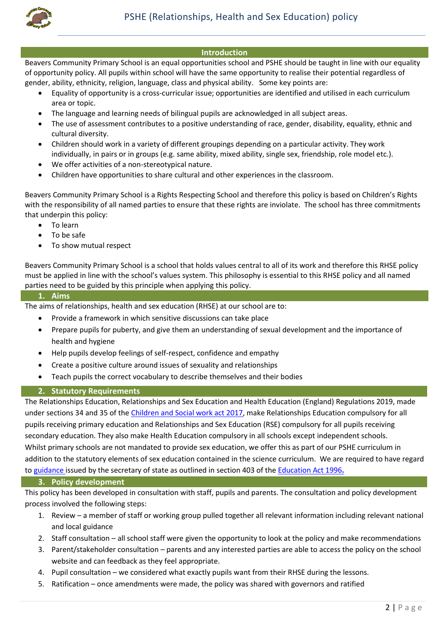

#### **Introduction**

Beavers Community Primary School is an equal opportunities school and PSHE should be taught in line with our equality of opportunity policy. All pupils within school will have the same opportunity to realise their potential regardless of gender, ability, ethnicity, religion, language, class and physical ability. Some key points are:

- Equality of opportunity is a cross-curricular issue; opportunities are identified and utilised in each curriculum area or topic.
- The language and learning needs of bilingual pupils are acknowledged in all subject areas.
- The use of assessment contributes to a positive understanding of race, gender, disability, equality, ethnic and cultural diversity.
- Children should work in a variety of different groupings depending on a particular activity. They work individually, in pairs or in groups (e.g. same ability, mixed ability, single sex, friendship, role model etc.).
- We offer activities of a non-stereotypical nature.
- Children have opportunities to share cultural and other experiences in the classroom.

Beavers Community Primary School is a Rights Respecting School and therefore this policy is based on Children's Rights with the responsibility of all named parties to ensure that these rights are inviolate. The school has three commitments that underpin this policy:

- To learn
- To be safe
- To show mutual respect

Beavers Community Primary School is a school that holds values central to all of its work and therefore this RHSE policy must be applied in line with the school's values system. This philosophy is essential to this RHSE policy and all named parties need to be guided by this principle when applying this policy.

#### **1. Aims**

The aims of relationships, health and sex education (RHSE) at our school are to:

- Provide a framework in which sensitive discussions can take place
- Prepare pupils for puberty, and give them an understanding of sexual development and the importance of health and hygiene
- Help pupils develop feelings of self-respect, confidence and empathy
- Create a positive culture around issues of sexuality and relationships
- Teach pupils the correct vocabulary to describe themselves and their bodies

#### **2. Statutory Requirements**

The Relationships Education, Relationships and Sex Education and Health Education (England) Regulations 2019, made under sections 34 and 35 of the [Children and Social work act 2017,](http://www.legislation.gov.uk/ukpga/2017/16/section/34/enacted) make Relationships Education compulsory for all pupils receiving primary education and Relationships and Sex Education (RSE) compulsory for all pupils receiving secondary education. They also make Health Education compulsory in all schools except independent schools. Whilst primary schools are not mandated to provide sex education, we offer this as part of our PSHE curriculum in addition to the statutory elements of sex education contained in the science curriculum. We are required to have regard to [guidance](https://www.gov.uk/government/consultations/relationships-and-sex-education-and-health-education) issued by the secretary of state as outlined in section 403 of the [Education Act 1996](http://www.legislation.gov.uk/ukpga/1996/56/contents)**.**

#### **3. Policy development**

This policy has been developed in consultation with staff, pupils and parents. The consultation and policy development process involved the following steps:

- 1. Review a member of staff or working group pulled together all relevant information including relevant national and local guidance
- 2. Staff consultation all school staff were given the opportunity to look at the policy and make recommendations
- 3. Parent/stakeholder consultation parents and any interested parties are able to access the policy on the school website and can feedback as they feel appropriate.
- 4. Pupil consultation we considered what exactly pupils want from their RHSE during the lessons.
- 5. Ratification once amendments were made, the policy was shared with governors and ratified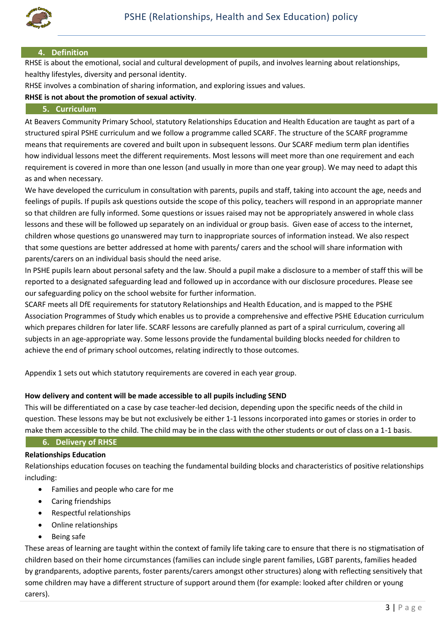

#### **4. Definition**

RHSE is about the emotional, social and cultural development of pupils, and involves learning about relationships, healthy lifestyles, diversity and personal identity.

RHSE involves a combination of sharing information, and exploring issues and values.

#### **RHSE is not about the promotion of sexual activity**.

#### **5. Curriculum**

At Beavers Community Primary School, statutory Relationships Education and Health Education are taught as part of a structured spiral PSHE curriculum and we follow a programme called SCARF. The structure of the SCARF programme means that requirements are covered and built upon in subsequent lessons. Our SCARF medium term plan identifies how individual lessons meet the different requirements. Most lessons will meet more than one requirement and each requirement is covered in more than one lesson (and usually in more than one year group). We may need to adapt this as and when necessary.

We have developed the curriculum in consultation with parents, pupils and staff, taking into account the age, needs and feelings of pupils. If pupils ask questions outside the scope of this policy, teachers will respond in an appropriate manner so that children are fully informed. Some questions or issues raised may not be appropriately answered in whole class lessons and these will be followed up separately on an individual or group basis. Given ease of access to the internet, children whose questions go unanswered may turn to inappropriate sources of information instead. We also respect that some questions are better addressed at home with parents/ carers and the school will share information with parents/carers on an individual basis should the need arise.

In PSHE pupils learn about personal safety and the law. Should a pupil make a disclosure to a member of staff this will be reported to a designated safeguarding lead and followed up in accordance with our disclosure procedures. Please see our safeguarding policy on the school website for further information.

SCARF meets all DfE requirements for statutory Relationships and Health Education, and is mapped to the PSHE Association Programmes of Study which enables us to provide a comprehensive and effective PSHE Education curriculum which prepares children for later life. SCARF lessons are carefully planned as part of a spiral curriculum, covering all subjects in an age-appropriate way. Some lessons provide the fundamental building blocks needed for children to achieve the end of primary school outcomes, relating indirectly to those outcomes.

Appendix 1 sets out which statutory requirements are covered in each year group.

#### **How delivery and content will be made accessible to all pupils including SEND**

This will be differentiated on a case by case teacher-led decision, depending upon the specific needs of the child in question. These lessons may be but not exclusively be either 1-1 lessons incorporated into games or stories in order to make them accessible to the child. The child may be in the class with the other students or out of class on a 1-1 basis.

## **6. Delivery of RHSE**

#### **Relationships Education**

Relationships education focuses on teaching the fundamental building blocks and characteristics of positive relationships including:

- Families and people who care for me
- Caring friendships
- Respectful relationships
- Online relationships
- Being safe

These areas of learning are taught within the context of family life taking care to ensure that there is no stigmatisation of children based on their home circumstances (families can include single parent families, LGBT parents, families headed by grandparents, adoptive parents, foster parents/carers amongst other structures) along with reflecting sensitively that some children may have a different structure of support around them (for example: looked after children or young carers).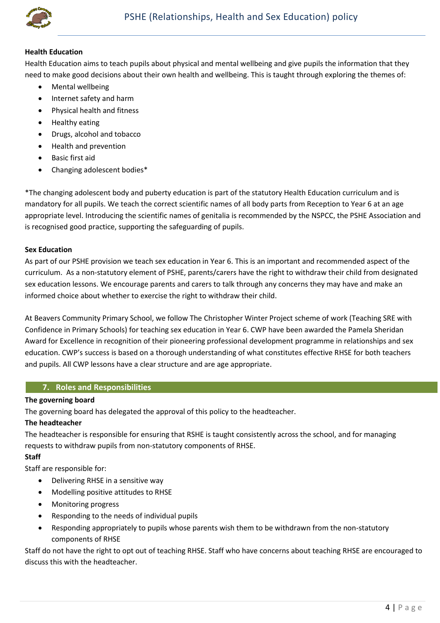

#### **Health Education**

Health Education aims to teach pupils about physical and mental wellbeing and give pupils the information that they need to make good decisions about their own health and wellbeing. This is taught through exploring the themes of:

- Mental wellbeing
- Internet safety and harm
- Physical health and fitness
- Healthy eating
- Drugs, alcohol and tobacco
- Health and prevention
- Basic first aid
- Changing adolescent bodies\*

\*The changing adolescent body and puberty education is part of the statutory Health Education curriculum and is mandatory for all pupils. We teach the correct scientific names of all body parts from Reception to Year 6 at an age appropriate level. Introducing the scientific names of genitalia is recommended by the NSPCC, the PSHE Association and is recognised good practice, supporting the safeguarding of pupils.

#### **Sex Education**

As part of our PSHE provision we teach sex education in Year 6. This is an important and recommended aspect of the curriculum. As a non-statutory element of PSHE, parents/carers have the right to withdraw their child from designated sex education lessons. We encourage parents and carers to talk through any concerns they may have and make an informed choice about whether to exercise the right to withdraw their child.

At Beavers Community Primary School, we follow The Christopher Winter Project scheme of work (Teaching SRE with Confidence in Primary Schools) for teaching sex education in Year 6. CWP have been awarded the Pamela Sheridan Award for Excellence in recognition of their pioneering professional development programme in relationships and sex education. CWP's success is based on a thorough understanding of what constitutes effective RHSE for both teachers and pupils. All CWP lessons have a clear structure and are age appropriate.

## **7. Roles and Responsibilities**

#### **The governing board**

The governing board has delegated the approval of this policy to the headteacher.

#### **The headteacher**

The headteacher is responsible for ensuring that RSHE is taught consistently across the school, and for managing requests to withdraw pupils from non-statutory components of RHSE.

## **Staff**

Staff are responsible for:

- Delivering RHSE in a sensitive way
- Modelling positive attitudes to RHSE
- Monitoring progress
- Responding to the needs of individual pupils
- Responding appropriately to pupils whose parents wish them to be withdrawn from the non-statutory components of RHSE

Staff do not have the right to opt out of teaching RHSE. Staff who have concerns about teaching RHSE are encouraged to discuss this with the headteacher.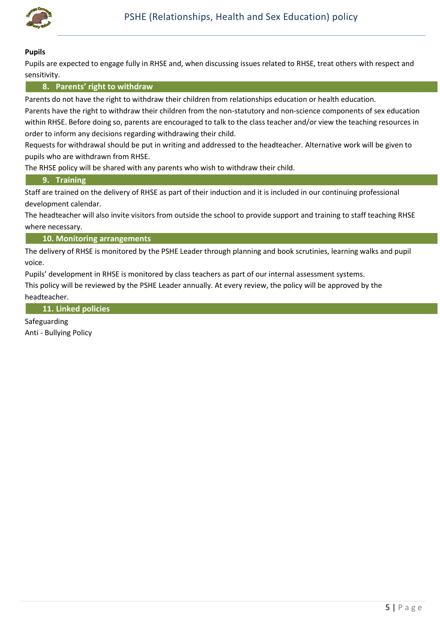

#### **Pupils**

Pupils are expected to engage fully in RHSE and, when discussing issues related to RHSE, treat others with respect and sensitivity.

#### **8. Parents' right to withdraw**

Parents do not have the right to withdraw their children from relationships education or health education.

Parents have the right to withdraw their children from the non-statutory and non-science components of sex education within RHSE. Before doing so, parents are encouraged to talk to the class teacher and/or view the teaching resources in order to inform any decisions regarding withdrawing their child.

Requests for withdrawal should be put in writing and addressed to the headteacher. Alternative work will be given to pupils who are withdrawn from RHSE.

The RHSE policy will be shared with any parents who wish to withdraw their child.

#### **9. Training**

Staff are trained on the delivery of RHSE as part of their induction and it is included in our continuing professional development calendar.

The headteacher will also invite visitors from outside the school to provide support and training to staff teaching RHSE where necessary.

**10. Monitoring arrangements**

The delivery of RHSE is monitored by the PSHE Leader through planning and book scrutinies, learning walks and pupil voice.

Pupils' development in RHSE is monitored by class teachers as part of our internal assessment systems. This policy will be reviewed by the PSHE Leader annually. At every review, the policy will be approved by the headteacher.

**11. Linked policies**

Safeguarding Anti - Bullying Policy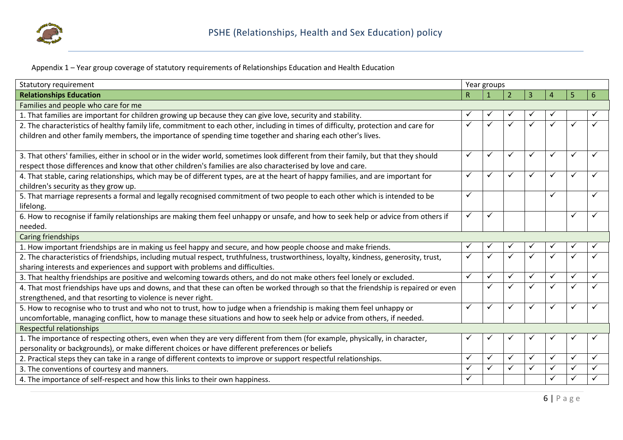

Appendix 1 – Year group coverage of statutory requirements of Relationships Education and Health Education

| Statutory requirement                                                                                                                 |   | Year groups  |              |              |              |   |              |  |
|---------------------------------------------------------------------------------------------------------------------------------------|---|--------------|--------------|--------------|--------------|---|--------------|--|
| <b>Relationships Education</b>                                                                                                        | R |              |              | 3            | Д            | 5 | 6            |  |
| Families and people who care for me                                                                                                   |   |              |              |              |              |   |              |  |
| 1. That families are important for children growing up because they can give love, security and stability.                            |   |              |              |              |              |   | $\checkmark$ |  |
| 2. The characteristics of healthy family life, commitment to each other, including in times of difficulty, protection and care for    |   |              | ✓            |              |              |   |              |  |
| children and other family members, the importance of spending time together and sharing each other's lives.                           |   |              |              |              |              |   |              |  |
|                                                                                                                                       |   |              |              |              |              |   |              |  |
| 3. That others' families, either in school or in the wider world, sometimes look different from their family, but that they should    | ✓ | ✓            | ✓            | ✓            | $\checkmark$ | ✓ | ✓            |  |
| respect those differences and know that other children's families are also characterised by love and care.                            |   |              |              |              |              |   |              |  |
| 4. That stable, caring relationships, which may be of different types, are at the heart of happy families, and are important for      | ✓ | ✓            | ✓            | $\checkmark$ | $\checkmark$ | ✓ | ✓            |  |
| children's security as they grow up.                                                                                                  |   |              |              |              |              |   |              |  |
| 5. That marriage represents a formal and legally recognised commitment of two people to each other which is intended to be            | ✓ |              |              |              | ✓            |   | ✓            |  |
| lifelong.                                                                                                                             |   |              |              |              |              |   |              |  |
| 6. How to recognise if family relationships are making them feel unhappy or unsafe, and how to seek help or advice from others if     |   | ✓            |              |              |              |   |              |  |
| needed.                                                                                                                               |   |              |              |              |              |   |              |  |
| Caring friendships                                                                                                                    |   |              |              |              |              |   |              |  |
| 1. How important friendships are in making us feel happy and secure, and how people choose and make friends.                          |   |              |              |              |              |   |              |  |
| 2. The characteristics of friendships, including mutual respect, truthfulness, trustworthiness, loyalty, kindness, generosity, trust, |   |              |              |              |              |   |              |  |
| sharing interests and experiences and support with problems and difficulties.                                                         |   |              |              |              |              |   |              |  |
| 3. That healthy friendships are positive and welcoming towards others, and do not make others feel lonely or excluded.                | ✓ | ✓            | $\checkmark$ | $\checkmark$ | $\checkmark$ | ✓ | ✓            |  |
| 4. That most friendships have ups and downs, and that these can often be worked through so that the friendship is repaired or even    |   | ✓            | ✓            | ✓            |              | ✓ |              |  |
| strengthened, and that resorting to violence is never right.                                                                          |   |              |              |              |              |   |              |  |
| 5. How to recognise who to trust and who not to trust, how to judge when a friendship is making them feel unhappy or                  | ✓ | $\checkmark$ | $\checkmark$ | $\checkmark$ | $\checkmark$ | ✓ |              |  |
| uncomfortable, managing conflict, how to manage these situations and how to seek help or advice from others, if needed.               |   |              |              |              |              |   |              |  |
| Respectful relationships                                                                                                              |   |              |              |              |              |   |              |  |
| 1. The importance of respecting others, even when they are very different from them (for example, physically, in character,           |   |              |              |              |              |   |              |  |
| personality or backgrounds), or make different choices or have different preferences or beliefs                                       |   |              |              |              |              |   |              |  |
| 2. Practical steps they can take in a range of different contexts to improve or support respectful relationships.                     | ✓ | ✓            | ✓            | $\checkmark$ | $\checkmark$ | ✓ | ✓            |  |
| 3. The conventions of courtesy and manners.                                                                                           |   |              | $\checkmark$ | ✓            |              | ✓ |              |  |
| 4. The importance of self-respect and how this links to their own happiness.                                                          | ✓ |              |              |              | $\checkmark$ | ✓ |              |  |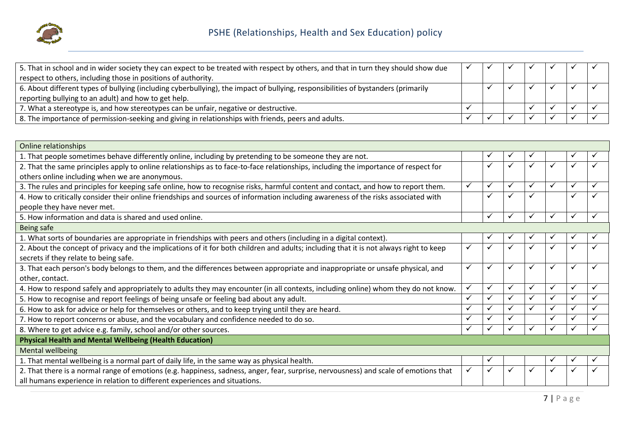

| 5. That in school and in wider society they can expect to be treated with respect by others, and that in turn they should show due |  |  |  |  |
|------------------------------------------------------------------------------------------------------------------------------------|--|--|--|--|
| respect to others, including those in positions of authority.                                                                      |  |  |  |  |
| 6. About different types of bullying (including cyberbullying), the impact of bullying, responsibilities of bystanders (primarily  |  |  |  |  |
| reporting bullying to an adult) and how to get help.                                                                               |  |  |  |  |
| 7. What a stereotype is, and how stereotypes can be unfair, negative or destructive.                                               |  |  |  |  |
| 8. The importance of permission-seeking and giving in relationships with friends, peers and adults.                                |  |  |  |  |

| Online relationships                                                                                                                   |              |              |   |              |              |   |   |
|----------------------------------------------------------------------------------------------------------------------------------------|--------------|--------------|---|--------------|--------------|---|---|
| 1. That people sometimes behave differently online, including by pretending to be someone they are not.                                |              |              |   |              |              |   |   |
| 2. That the same principles apply to online relationships as to face-to-face relationships, including the importance of respect for    |              | ✓            |   | ✓            | ✓            | ✓ |   |
| others online including when we are anonymous.                                                                                         |              |              |   |              |              |   |   |
| 3. The rules and principles for keeping safe online, how to recognise risks, harmful content and contact, and how to report them.      |              | $\checkmark$ | ✓ | ✓            | ✓            | ✓ |   |
| 4. How to critically consider their online friendships and sources of information including awareness of the risks associated with     |              | $\checkmark$ |   |              |              |   |   |
| people they have never met.                                                                                                            |              |              |   |              |              |   |   |
| 5. How information and data is shared and used online.                                                                                 |              | $\checkmark$ |   | ✓            | ✓            |   |   |
| <b>Being safe</b>                                                                                                                      |              |              |   |              |              |   |   |
| 1. What sorts of boundaries are appropriate in friendships with peers and others (including in a digital context).                     |              | ✓            |   | v            |              |   |   |
| 2. About the concept of privacy and the implications of it for both children and adults; including that it is not always right to keep | ✓            | ✓            |   | $\checkmark$ | ✓            |   |   |
| secrets if they relate to being safe.                                                                                                  |              |              |   |              |              |   |   |
| 3. That each person's body belongs to them, and the differences between appropriate and inappropriate or unsafe physical, and          | $\checkmark$ | $\checkmark$ | ✓ | $\checkmark$ | ✓            | ✓ |   |
| other, contact.                                                                                                                        |              |              |   |              |              |   |   |
| 4. How to respond safely and appropriately to adults they may encounter (in all contexts, including online) whom they do not know.     | ✓            | $\checkmark$ | ✓ | ✓            | $\checkmark$ | ✓ | ✓ |
| 5. How to recognise and report feelings of being unsafe or feeling bad about any adult.                                                | ✓            | $\checkmark$ | ✓ | $\checkmark$ | $\checkmark$ | ✓ |   |
| 6. How to ask for advice or help for themselves or others, and to keep trying until they are heard.                                    | ✓            | ✓            |   | ✓            |              |   |   |
| 7. How to report concerns or abuse, and the vocabulary and confidence needed to do so.                                                 | ✓            | $\checkmark$ |   |              |              |   |   |
| 8. Where to get advice e.g. family, school and/or other sources.                                                                       | ✓            | $\checkmark$ |   |              | ✓            |   |   |
| <b>Physical Health and Mental Wellbeing (Health Education)</b>                                                                         |              |              |   |              |              |   |   |
| Mental wellbeing                                                                                                                       |              |              |   |              |              |   |   |
| 1. That mental wellbeing is a normal part of daily life, in the same way as physical health.                                           |              | ✓            |   |              | $\checkmark$ |   |   |
| 2. That there is a normal range of emotions (e.g. happiness, sadness, anger, fear, surprise, nervousness) and scale of emotions that   |              | $\checkmark$ |   | $\checkmark$ |              |   |   |
| all humans experience in relation to different experiences and situations.                                                             |              |              |   |              |              |   |   |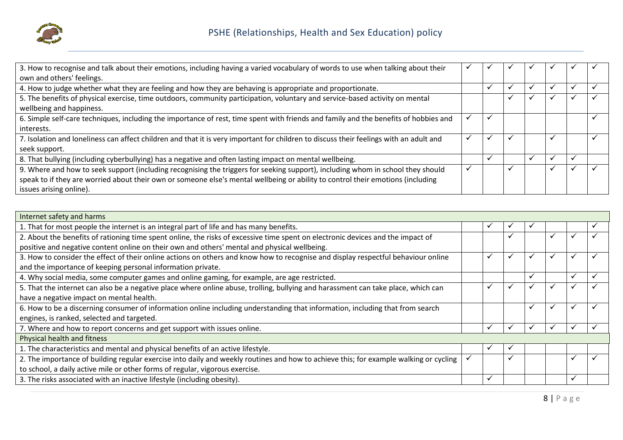

| 3. How to recognise and talk about their emotions, including having a varied vocabulary of words to use when talking about their       |  |              |                          |  |
|----------------------------------------------------------------------------------------------------------------------------------------|--|--------------|--------------------------|--|
| own and others' feelings.                                                                                                              |  |              |                          |  |
| 4. How to judge whether what they are feeling and how they are behaving is appropriate and proportionate.                              |  |              |                          |  |
| 5. The benefits of physical exercise, time outdoors, community participation, voluntary and service-based activity on mental           |  | $\checkmark$ |                          |  |
| wellbeing and happiness.                                                                                                               |  |              |                          |  |
| 6. Simple self-care techniques, including the importance of rest, time spent with friends and family and the benefits of hobbies and   |  |              |                          |  |
| interests.                                                                                                                             |  |              |                          |  |
| 7. Isolation and loneliness can affect children and that it is very important for children to discuss their feelings with an adult and |  |              | $\overline{\phantom{a}}$ |  |
| seek support.                                                                                                                          |  |              |                          |  |
| 8. That bullying (including cyberbullying) has a negative and often lasting impact on mental wellbeing.                                |  |              |                          |  |
| 9. Where and how to seek support (including recognising the triggers for seeking support), including whom in school they should        |  | $\checkmark$ | $\cdot$                  |  |
| speak to if they are worried about their own or someone else's mental wellbeing or ability to control their emotions (including        |  |              |                          |  |
| issues arising online).                                                                                                                |  |              |                          |  |

| Internet safety and harms                                                                                                             |   |              |   |  |
|---------------------------------------------------------------------------------------------------------------------------------------|---|--------------|---|--|
| 1. That for most people the internet is an integral part of life and has many benefits.                                               | v |              |   |  |
| 2. About the benefits of rationing time spent online, the risks of excessive time spent on electronic devices and the impact of       |   |              |   |  |
| positive and negative content online on their own and others' mental and physical wellbeing.                                          |   |              |   |  |
| 3. How to consider the effect of their online actions on others and know how to recognise and display respectful behaviour online     | ✔ | $\checkmark$ |   |  |
| and the importance of keeping personal information private.                                                                           |   |              |   |  |
| 4. Why social media, some computer games and online gaming, for example, are age restricted.                                          |   | $\checkmark$ |   |  |
| 5. That the internet can also be a negative place where online abuse, trolling, bullying and harassment can take place, which can     | ✓ | $\checkmark$ | ✔ |  |
| have a negative impact on mental health.                                                                                              |   |              |   |  |
| 6. How to be a discerning consumer of information online including understanding that information, including that from search         |   | $\checkmark$ |   |  |
| engines, is ranked, selected and targeted.                                                                                            |   |              |   |  |
| 7. Where and how to report concerns and get support with issues online.                                                               |   |              |   |  |
| Physical health and fitness                                                                                                           |   |              |   |  |
| 1. The characteristics and mental and physical benefits of an active lifestyle.                                                       | ✔ |              |   |  |
| 2. The importance of building regular exercise into daily and weekly routines and how to achieve this; for example walking or cycling |   |              |   |  |
| to school, a daily active mile or other forms of regular, vigorous exercise.                                                          |   |              |   |  |
| 3. The risks associated with an inactive lifestyle (including obesity).                                                               | ✔ |              |   |  |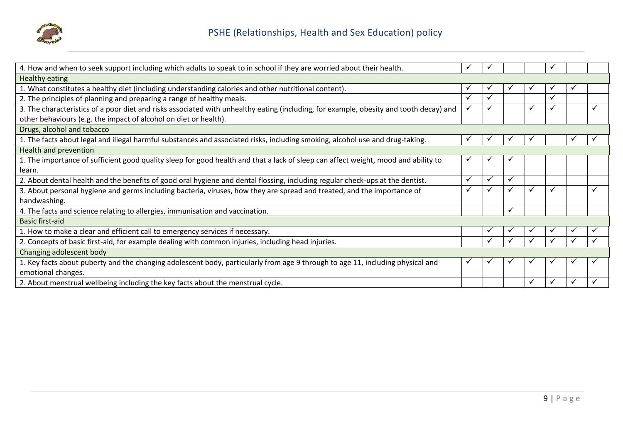

| 4. How and when to seek support including which adults to speak to in school if they are worried about their health.                   | ✓            | 丷            |              |   | ✓            |  |
|----------------------------------------------------------------------------------------------------------------------------------------|--------------|--------------|--------------|---|--------------|--|
| Healthy eating                                                                                                                         |              |              |              |   |              |  |
| 1. What constitutes a healthy diet (including understanding calories and other nutritional content).                                   |              |              |              |   |              |  |
| 2. The principles of planning and preparing a range of healthy meals.                                                                  | ✓            | ✓            |              |   | ✓            |  |
| 3. The characteristics of a poor diet and risks associated with unhealthy eating (including, for example, obesity and tooth decay) and |              | $\checkmark$ |              | ✓ | ✓            |  |
| other behaviours (e.g. the impact of alcohol on diet or health).                                                                       |              |              |              |   |              |  |
| Drugs, alcohol and tobacco                                                                                                             |              |              |              |   |              |  |
| 1. The facts about legal and illegal harmful substances and associated risks, including smoking, alcohol use and drug-taking.          |              |              |              |   |              |  |
| Health and prevention                                                                                                                  |              |              |              |   |              |  |
| 1. The importance of sufficient good quality sleep for good health and that a lack of sleep can affect weight, mood and ability to     | ✔            | v            |              |   |              |  |
| learn.                                                                                                                                 |              |              |              |   |              |  |
| 2. About dental health and the benefits of good oral hygiene and dental flossing, including regular check-ups at the dentist.          | ✓            | $\checkmark$ | ✓            |   |              |  |
| 3. About personal hygiene and germs including bacteria, viruses, how they are spread and treated, and the importance of                | $\checkmark$ | $\checkmark$ | $\checkmark$ |   | $\checkmark$ |  |
| handwashing.                                                                                                                           |              |              |              |   |              |  |
| 4. The facts and science relating to allergies, immunisation and vaccination.                                                          |              |              | ✓            |   |              |  |
| <b>Basic first-aid</b>                                                                                                                 |              |              |              |   |              |  |
| 1. How to make a clear and efficient call to emergency services if necessary.                                                          |              | ✓            | $\checkmark$ |   |              |  |
| 2. Concepts of basic first-aid, for example dealing with common injuries, including head injuries.                                     |              |              |              |   |              |  |
| Changing adolescent body                                                                                                               |              |              |              |   |              |  |
| 1. Key facts about puberty and the changing adolescent body, particularly from age 9 through to age 11, including physical and         | ✓            | $\check{ }$  | 丷            |   | ✔            |  |
| emotional changes.                                                                                                                     |              |              |              |   |              |  |
| 2. About menstrual wellbeing including the key facts about the menstrual cycle.                                                        |              |              |              |   | ✓            |  |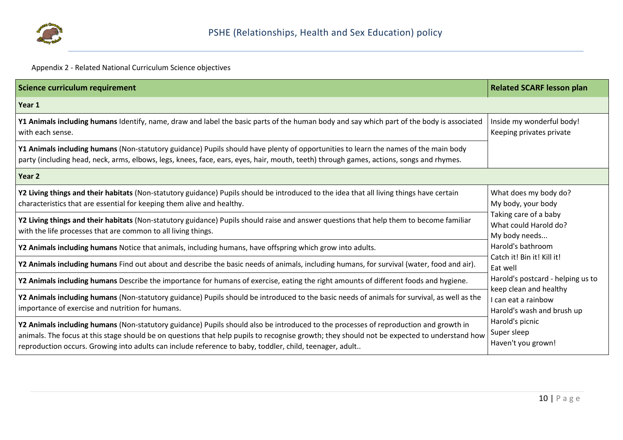

# Appendix 2 - Related National Curriculum Science objectives

| Science curriculum requirement                                                                                                                                                                                                                                                                                                                                                                 | <b>Related SCARF lesson plan</b>                                            |
|------------------------------------------------------------------------------------------------------------------------------------------------------------------------------------------------------------------------------------------------------------------------------------------------------------------------------------------------------------------------------------------------|-----------------------------------------------------------------------------|
| Year 1                                                                                                                                                                                                                                                                                                                                                                                         |                                                                             |
| Y1 Animals including humans Identify, name, draw and label the basic parts of the human body and say which part of the body is associated<br>with each sense.                                                                                                                                                                                                                                  | Inside my wonderful body!<br>Keeping privates private                       |
| Y1 Animals including humans (Non-statutory guidance) Pupils should have plenty of opportunities to learn the names of the main body<br>party (including head, neck, arms, elbows, legs, knees, face, ears, eyes, hair, mouth, teeth) through games, actions, songs and rhymes.                                                                                                                 |                                                                             |
| Year <sub>2</sub>                                                                                                                                                                                                                                                                                                                                                                              |                                                                             |
| Y2 Living things and their habitats (Non-statutory guidance) Pupils should be introduced to the idea that all living things have certain<br>characteristics that are essential for keeping them alive and healthy.                                                                                                                                                                             | What does my body do?<br>My body, your body                                 |
| Y2 Living things and their habitats (Non-statutory guidance) Pupils should raise and answer questions that help them to become familiar<br>with the life processes that are common to all living things.                                                                                                                                                                                       | Taking care of a baby<br>What could Harold do?<br>My body needs             |
| Y2 Animals including humans Notice that animals, including humans, have offspring which grow into adults.                                                                                                                                                                                                                                                                                      | Harold's bathroom                                                           |
| Y2 Animals including humans Find out about and describe the basic needs of animals, including humans, for survival (water, food and air).                                                                                                                                                                                                                                                      | Catch it! Bin it! Kill it!<br>Eat well                                      |
| Y2 Animals including humans Describe the importance for humans of exercise, eating the right amounts of different foods and hygiene.                                                                                                                                                                                                                                                           | Harold's postcard - helping us to                                           |
| Y2 Animals including humans (Non-statutory guidance) Pupils should be introduced to the basic needs of animals for survival, as well as the<br>importance of exercise and nutrition for humans.                                                                                                                                                                                                | keep clean and healthy<br>I can eat a rainbow<br>Harold's wash and brush up |
| Y2 Animals including humans (Non-statutory guidance) Pupils should also be introduced to the processes of reproduction and growth in<br>animals. The focus at this stage should be on questions that help pupils to recognise growth; they should not be expected to understand how<br>reproduction occurs. Growing into adults can include reference to baby, toddler, child, teenager, adult | Harold's picnic<br>Super sleep<br>Haven't you grown!                        |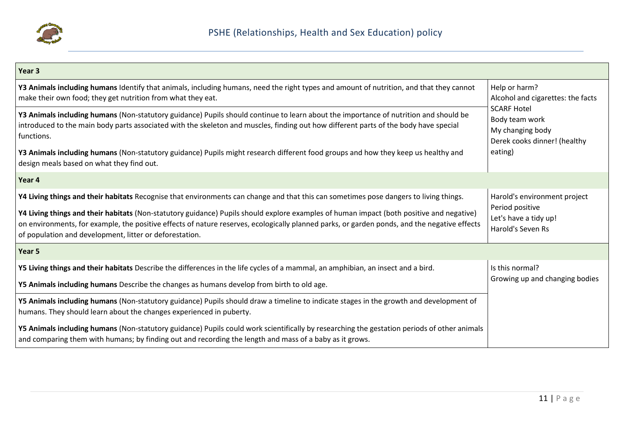

| Year 3                                                                                                                                                                                                                                                                                                                                              |                                                                                          |
|-----------------------------------------------------------------------------------------------------------------------------------------------------------------------------------------------------------------------------------------------------------------------------------------------------------------------------------------------------|------------------------------------------------------------------------------------------|
| Y3 Animals including humans Identify that animals, including humans, need the right types and amount of nutrition, and that they cannot<br>make their own food; they get nutrition from what they eat.                                                                                                                                              | Help or harm?<br>Alcohol and cigarettes: the facts                                       |
| Y3 Animals including humans (Non-statutory guidance) Pupils should continue to learn about the importance of nutrition and should be<br>introduced to the main body parts associated with the skeleton and muscles, finding out how different parts of the body have special<br>functions.                                                          | <b>SCARF Hotel</b><br>Body team work<br>My changing body<br>Derek cooks dinner! (healthy |
| Y3 Animals including humans (Non-statutory guidance) Pupils might research different food groups and how they keep us healthy and<br>design meals based on what they find out.                                                                                                                                                                      | eating)                                                                                  |
| Year 4                                                                                                                                                                                                                                                                                                                                              |                                                                                          |
| Y4 Living things and their habitats Recognise that environments can change and that this can sometimes pose dangers to living things.                                                                                                                                                                                                               | Harold's environment project                                                             |
| Y4 Living things and their habitats (Non-statutory guidance) Pupils should explore examples of human impact (both positive and negative)<br>on environments, for example, the positive effects of nature reserves, ecologically planned parks, or garden ponds, and the negative effects<br>of population and development, litter or deforestation. | Period positive<br>Let's have a tidy up!<br>Harold's Seven Rs                            |
| Year 5                                                                                                                                                                                                                                                                                                                                              |                                                                                          |
| Y5 Living things and their habitats Describe the differences in the life cycles of a mammal, an amphibian, an insect and a bird.                                                                                                                                                                                                                    | Is this normal?                                                                          |
| Y5 Animals including humans Describe the changes as humans develop from birth to old age.                                                                                                                                                                                                                                                           | Growing up and changing bodies                                                           |
| Y5 Animals including humans (Non-statutory guidance) Pupils should draw a timeline to indicate stages in the growth and development of<br>humans. They should learn about the changes experienced in puberty.                                                                                                                                       |                                                                                          |
| Y5 Animals including humans (Non-statutory guidance) Pupils could work scientifically by researching the gestation periods of other animals<br>and comparing them with humans; by finding out and recording the length and mass of a baby as it grows.                                                                                              |                                                                                          |